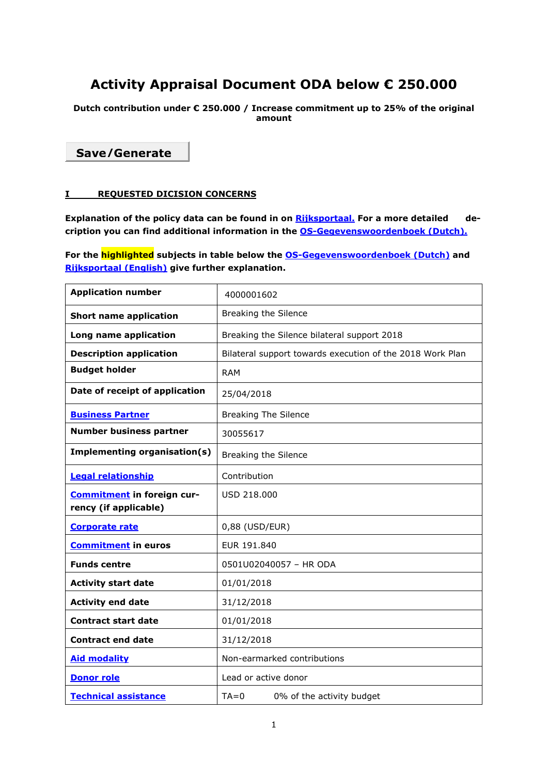# **Activity Appraisal Document ODA below € 250.000**

**Dutch contribution under € 250.000 / Increase commitment up to 25% of the original amount** 

**Save/Generate**

# **I REQUESTED DICISION CONCERNS**

Explanation of the policy data can be found in on **Rijksportaal**. For a more detailed de**cription you can find additional information in the OS-Gegevenswoordenboek (Dutch).**

**For the highlighted subjects in table below the OS-Gegevenswoordenboek (Dutch) and Rijksportaal (English) give further explanation.** 

| <b>Application number</b>                           | 4000001602                                                |
|-----------------------------------------------------|-----------------------------------------------------------|
| <b>Short name application</b>                       | <b>Breaking the Silence</b>                               |
| Long name application                               | Breaking the Silence bilateral support 2018               |
| <b>Description application</b>                      | Bilateral support towards execution of the 2018 Work Plan |
| <b>Budget holder</b>                                | <b>RAM</b>                                                |
| Date of receipt of application                      | 25/04/2018                                                |
| <b>Business Partner</b>                             | <b>Breaking The Silence</b>                               |
| <b>Number business partner</b>                      | 30055617                                                  |
| <b>Implementing organisation(s)</b>                 | Breaking the Silence                                      |
| <b>Legal relationship</b>                           | Contribution                                              |
| Commitment in foreign cur-<br>rency (if applicable) | USD 218.000                                               |
| <b>Corporate rate</b>                               | 0,88 (USD/EUR)                                            |
| <b>Commitment</b> in euros                          | EUR 191.840                                               |
| <b>Funds centre</b>                                 | 0501U02040057 - HR ODA                                    |
| <b>Activity start date</b>                          | 01/01/2018                                                |
| <b>Activity end date</b>                            | 31/12/2018                                                |
| <b>Contract start date</b>                          | 01/01/2018                                                |
| <b>Contract end date</b>                            | 31/12/2018                                                |
| <b>Aid modality</b>                                 | Non-earmarked contributions                               |
| <b>Donor role</b>                                   | Lead or active donor                                      |
| <b>Technical assistance</b>                         | $TA = 0$<br>0% of the activity budget                     |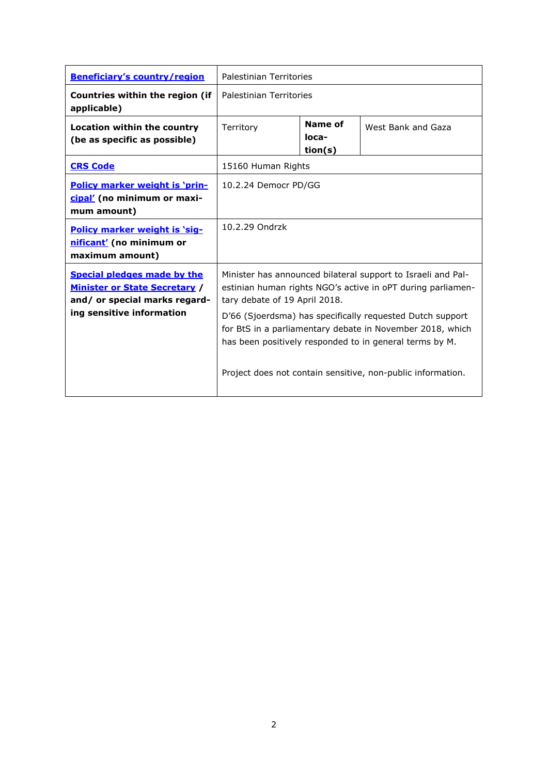| <b>Beneficiary's country/region</b>                                                                                                      | Palestinian Territories                                                                                                                                                                                                                                                                                                                                                                                          |                             |                    |
|------------------------------------------------------------------------------------------------------------------------------------------|------------------------------------------------------------------------------------------------------------------------------------------------------------------------------------------------------------------------------------------------------------------------------------------------------------------------------------------------------------------------------------------------------------------|-----------------------------|--------------------|
| Countries within the region (if<br>applicable)                                                                                           | Palestinian Territories                                                                                                                                                                                                                                                                                                                                                                                          |                             |                    |
| <b>Location within the country</b><br>(be as specific as possible)                                                                       | Territory                                                                                                                                                                                                                                                                                                                                                                                                        | Name of<br>loca-<br>tion(s) | West Bank and Gaza |
| <b>CRS Code</b>                                                                                                                          | 15160 Human Rights                                                                                                                                                                                                                                                                                                                                                                                               |                             |                    |
| <b>Policy marker weight is 'prin-</b><br>cipal' (no minimum or maxi-<br>mum amount)                                                      | 10.2.24 Democr PD/GG                                                                                                                                                                                                                                                                                                                                                                                             |                             |                    |
| Policy marker weight is 'sig-<br>nificant' (no minimum or<br>maximum amount)                                                             | 10.2.29 Ondrzk                                                                                                                                                                                                                                                                                                                                                                                                   |                             |                    |
| <b>Special pledges made by the</b><br><b>Minister or State Secretary /</b><br>and/ or special marks regard-<br>ing sensitive information | Minister has announced bilateral support to Israeli and Pal-<br>estinian human rights NGO's active in oPT during parliamen-<br>tary debate of 19 April 2018.<br>D'66 (Sjoerdsma) has specifically requested Dutch support<br>for BtS in a parliamentary debate in November 2018, which<br>has been positively responded to in general terms by M.<br>Project does not contain sensitive, non-public information. |                             |                    |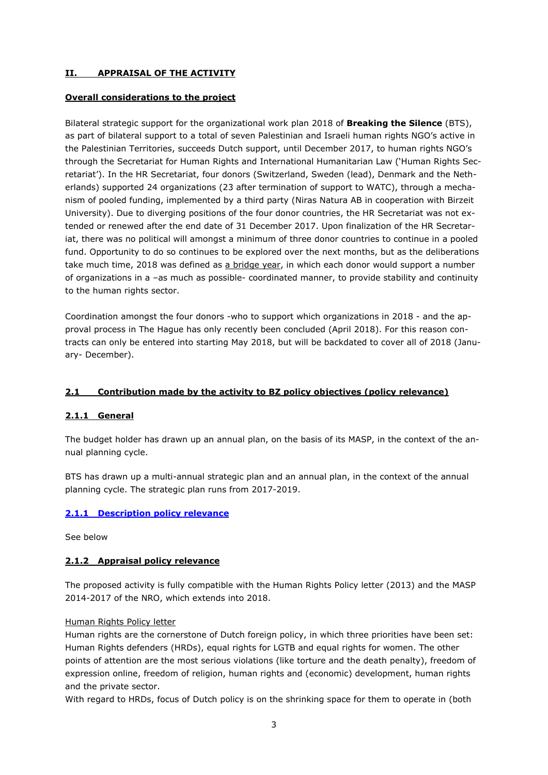# **II. APPRAISAL OF THE ACTIVITY**

### **Overall considerations to the project**

Bilateral strategic support for the organizational work plan 2018 of **Breaking the Silence** (BTS), as part of bilateral support to a total of seven Palestinian and Israeli human rights NGO's active in the Palestinian Territories, succeeds Dutch support, until December 2017, to human rights NGO's through the Secretariat for Human Rights and International Humanitarian Law ('Human Rights Secretariat'). In the HR Secretariat, four donors (Switzerland, Sweden (lead), Denmark and the Netherlands) supported 24 organizations (23 after termination of support to WATC), through a mechanism of pooled funding, implemented by a third party (Niras Natura AB in cooperation with Birzeit University). Due to diverging positions of the four donor countries, the HR Secretariat was not extended or renewed after the end date of 31 December 2017. Upon finalization of the HR Secretariat, there was no political will amongst a minimum of three donor countries to continue in a pooled fund. Opportunity to do so continues to be explored over the next months, but as the deliberations take much time, 2018 was defined as a bridge year, in which each donor would support a number of organizations in a –as much as possible- coordinated manner, to provide stability and continuity to the human rights sector.

Coordination amongst the four donors -who to support which organizations in 2018 - and the approval process in The Hague has only recently been concluded (April 2018). For this reason contracts can only be entered into starting May 2018, but will be backdated to cover all of 2018 (January- December).

# **2.1 Contribution made by the activity to BZ policy objectives (policy relevance)**

# **2.1.1 General**

The budget holder has drawn up an annual plan, on the basis of its MASP, in the context of the annual planning cycle.

BTS has drawn up a multi-annual strategic plan and an annual plan, in the context of the annual planning cycle. The strategic plan runs from 2017-2019.

# **2.1.1 Description policy relevance**

See below

### **2.1.2 Appraisal policy relevance**

The proposed activity is fully compatible with the Human Rights Policy letter (2013) and the MASP 2014-2017 of the NRO, which extends into 2018.

### Human Rights Policy letter

Human rights are the cornerstone of Dutch foreign policy, in which three priorities have been set: Human Rights defenders (HRDs), equal rights for LGTB and equal rights for women. The other points of attention are the most serious violations (like torture and the death penalty), freedom of expression online, freedom of religion, human rights and (economic) development, human rights and the private sector.

With regard to HRDs, focus of Dutch policy is on the shrinking space for them to operate in (both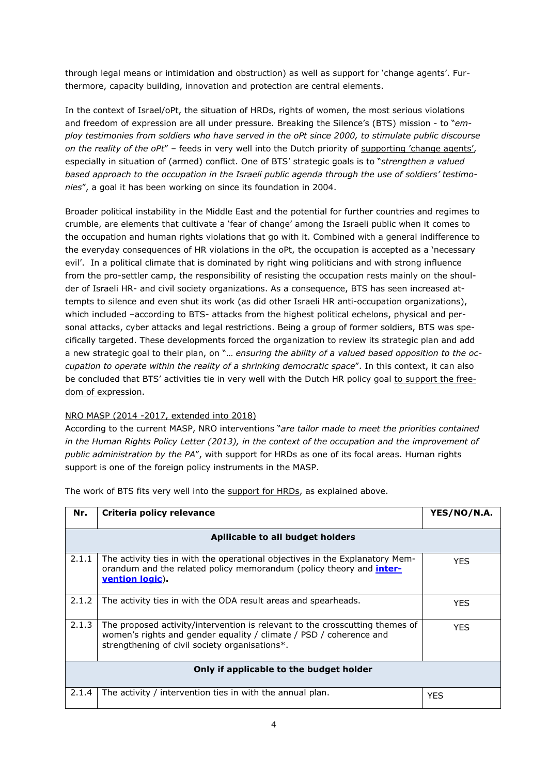through legal means or intimidation and obstruction) as well as support for 'change agents'. Furthermore, capacity building, innovation and protection are central elements.

In the context of Israel/oPt, the situation of HRDs, rights of women, the most serious violations and freedom of expression are all under pressure. Breaking the Silence's (BTS) mission - to "*employ testimonies from soldiers who have served in the oPt since 2000, to stimulate public discourse on the reality of the oPt*" – feeds in very well into the Dutch priority of supporting 'change agents', especially in situation of (armed) conflict. One of BTS' strategic goals is to "*strengthen a valued based approach to the occupation in the Israeli public agenda through the use of soldiers' testimonies*", a goal it has been working on since its foundation in 2004.

Broader political instability in the Middle East and the potential for further countries and regimes to crumble, are elements that cultivate a 'fear of change' among the Israeli public when it comes to the occupation and human rights violations that go with it. Combined with a general indifference to the everyday consequences of HR violations in the oPt, the occupation is accepted as a 'necessary evil'. In a political climate that is dominated by right wing politicians and with strong influence from the pro-settler camp, the responsibility of resisting the occupation rests mainly on the shoulder of Israeli HR- and civil society organizations. As a consequence, BTS has seen increased attempts to silence and even shut its work (as did other Israeli HR anti-occupation organizations), which included –according to BTS- attacks from the highest political echelons, physical and personal attacks, cyber attacks and legal restrictions. Being a group of former soldiers, BTS was specifically targeted. These developments forced the organization to review its strategic plan and add a new strategic goal to their plan, on "… *ensuring the ability of a valued based opposition to the occupation to operate within the reality of a shrinking democratic space*". In this context, it can also be concluded that BTS' activities tie in very well with the Dutch HR policy goal to support the freedom of expression.

# NRO MASP (2014 -2017, extended into 2018)

According to the current MASP, NRO interventions "*are tailor made to meet the priorities contained in the Human Rights Policy Letter (2013), in the context of the occupation and the improvement of public administration by the PA*", with support for HRDs as one of its focal areas. Human rights support is one of the foreign policy instruments in the MASP.

| Nr.                                     | Criteria policy relevance                                                                                                                                                                            | YES/NO/N.A. |  |
|-----------------------------------------|------------------------------------------------------------------------------------------------------------------------------------------------------------------------------------------------------|-------------|--|
| Apllicable to all budget holders        |                                                                                                                                                                                                      |             |  |
| 2.1.1                                   | The activity ties in with the operational objectives in the Explanatory Mem-<br>orandum and the related policy memorandum (policy theory and <i>inter-</i><br>vention logic).                        | <b>YES</b>  |  |
| 2.1.2                                   | The activity ties in with the ODA result areas and spearheads.                                                                                                                                       | <b>YES</b>  |  |
| 2.1.3                                   | The proposed activity/intervention is relevant to the crosscutting themes of<br>women's rights and gender equality / climate / PSD / coherence and<br>strengthening of civil society organisations*. | <b>YES</b>  |  |
| Only if applicable to the budget holder |                                                                                                                                                                                                      |             |  |
| 2.1.4                                   | The activity / intervention ties in with the annual plan.                                                                                                                                            | <b>YES</b>  |  |

The work of BTS fits very well into the support for HRDs, as explained above.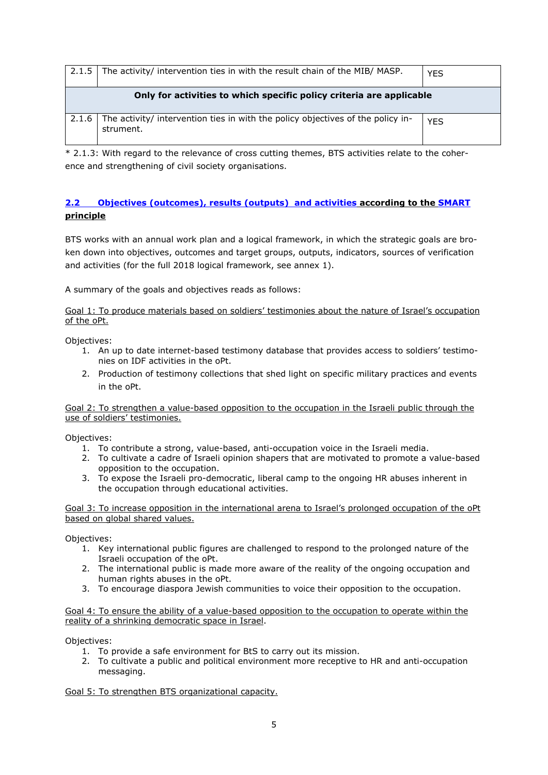| 2.1.5                                                                | The activity/ intervention ties in with the result chain of the MIB/ MASP.                   | <b>YES</b> |
|----------------------------------------------------------------------|----------------------------------------------------------------------------------------------|------------|
| Only for activities to which specific policy criteria are applicable |                                                                                              |            |
| 2.1.6                                                                | The activity/ intervention ties in with the policy objectives of the policy in-<br>strument. | <b>YES</b> |

\* 2.1.3: With regard to the relevance of cross cutting themes, BTS activities relate to the coherence and strengthening of civil society organisations.

# **2.2 Objectives (outcomes), results (outputs) and activities according to the SMART principle**

BTS works with an annual work plan and a logical framework, in which the strategic goals are broken down into objectives, outcomes and target groups, outputs, indicators, sources of verification and activities (for the full 2018 logical framework, see annex 1).

A summary of the goals and objectives reads as follows:

Goal 1: To produce materials based on soldiers' testimonies about the nature of Israel's occupation of the oPt.

Objectives:

- 1. An up to date internet-based testimony database that provides access to soldiers' testimonies on IDF activities in the oPt.
- 2. Production of testimony collections that shed light on specific military practices and events in the oPt.

Goal 2: To strengthen a value-based opposition to the occupation in the Israeli public through the use of soldiers' testimonies.

Objectives:

- 1. To contribute a strong, value-based, anti-occupation voice in the Israeli media.
- 2. To cultivate a cadre of Israeli opinion shapers that are motivated to promote a value-based opposition to the occupation.
- 3. To expose the Israeli pro-democratic, liberal camp to the ongoing HR abuses inherent in the occupation through educational activities.

Goal 3: To increase opposition in the international arena to Israel's prolonged occupation of the oPt based on global shared values.

Objectives:

- 1. Key international public figures are challenged to respond to the prolonged nature of the Israeli occupation of the oPt.
- 2. The international public is made more aware of the reality of the ongoing occupation and human rights abuses in the oPt.
- 3. To encourage diaspora Jewish communities to voice their opposition to the occupation.

Goal 4: To ensure the ability of a value-based opposition to the occupation to operate within the reality of a shrinking democratic space in Israel.

Objectives:

- 1. To provide a safe environment for BtS to carry out its mission.
- 2. To cultivate a public and political environment more receptive to HR and anti-occupation messaging.

Goal 5: To strengthen BTS organizational capacity.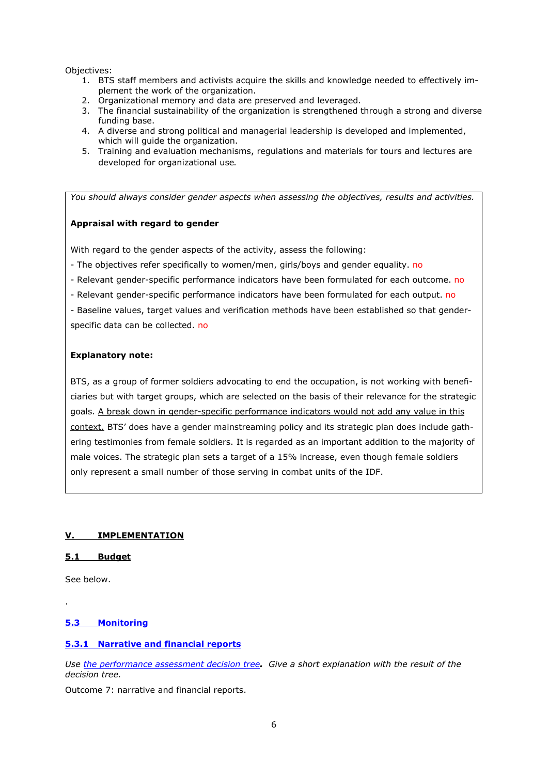Objectives:

- 1. BTS staff members and activists acquire the skills and knowledge needed to effectively implement the work of the organization.
- 2. Organizational memory and data are preserved and leveraged.
- 3. The financial sustainability of the organization is strengthened through a strong and diverse funding base.
- 4. A diverse and strong political and managerial leadership is developed and implemented, which will guide the organization.
- 5. Training and evaluation mechanisms, regulations and materials for tours and lectures are developed for organizational use.

*You should always consider gender aspects when assessing the objectives, results and activities.* 

### **Appraisal with regard to gender**

With regard to the gender aspects of the activity, assess the following:

- The objectives refer specifically to women/men, girls/boys and gender equality. no
- Relevant gender-specific performance indicators have been formulated for each outcome. no
- Relevant gender-specific performance indicators have been formulated for each output. no
- Baseline values, target values and verification methods have been established so that genderspecific data can be collected. no

#### **Explanatory note:**

BTS, as a group of former soldiers advocating to end the occupation, is not working with beneficiaries but with target groups, which are selected on the basis of their relevance for the strategic goals. A break down in gender-specific performance indicators would not add any value in this context. BTS' does have a gender mainstreaming policy and its strategic plan does include gathering testimonies from female soldiers. It is regarded as an important addition to the majority of male voices. The strategic plan sets a target of a 15% increase, even though female soldiers only represent a small number of those serving in combat units of the IDF.

### **V. IMPLEMENTATION**

### **5.1 Budget**

See below.

.

### **5.3 Monitoring**

### **5.3.1 Narrative and financial reports**

*Use the performance assessment decision tree. Give a short explanation with the result of the decision tree.* 

Outcome 7: narrative and financial reports.